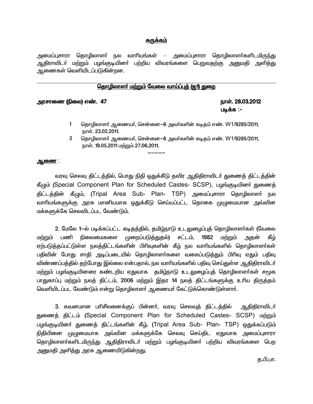### சுருக்கம்

அமைப்புசாரா தொழிலாளா் நல வாாியங்கள் – அமைப்புசாரா தொழிலாளா்களிடமிரு<u>ந்த</u>ு ஆதிராவிடா் மற்றும் பழங்குடியினா் பற்றிய விவரங்களை பெறுவதற்கு <u>அனு</u>மதி அளித்து ஆணைகள் வெளியிடப்படுகின்றன.<br>·

### <u>தொழிலாளர் மற்றும் வேலை வாய்ப்புத் (ஐ1) துறை</u>

### murhiz (ãiy) v©. 47 ehŸ. 28.03.2012

# படிக்க :-

- 1 சொழிலாளர் ஆணையர், சென்னை—6 அவர்களின் கடிதம் எண். W1/9285/2011, நாள். 23.02.2011.
- 2 கொழிலாளர் ஆணையர், சென்னை—6 அவர்களின் கடிகும் எண். W1/9285/2011, நாள். 19.05.2011 மற்றும் 27.06.2011.

## ஆ<u>ணை</u> :

வரவு செலவு திட்டத்தில், பொது நிதி ஒதுக்கீடு தவிர ஆதிதிராவிடா் துணைத் திட்டத்தின் கீழும் (Special Component Plan for Scheduled Castes- SCSP), பழங்குடியினர் துணைத் திட்டத்தின் கீழும், (Tripal Area Sub- Plan- TSP) அமைப்புசாரா தொழிலாளர் நல வாரியங்களுக்கு அரசு மானியமாக ஒதுக்கீடு செய்யப்பட்ட தொகை முமுமையான அவ்வின மக்களுக்கே செலவிடப்பட வேண்டும்.

-----

2. மேலே 1-ல் படிக்கப்பட்ட கடிதத்தில், தமிழ்நாடு உடலுழைப்புத் தொழிலாளா்கள் (வேலை மற்றும் பணி நிலைமைகளை முறைப்படுத்துதல்) சட்டம், 1982 மற்றும் அதன் கீழ் ஏற்படுத்தப்பட்டுள்ள நலத்திட்டங்களின் பிரிவுகளின் கீழ் நல வாரியங்களில் தொழிலாளா்கள் பதிவின் போது சாதி அடிப்படையில் தொழிலாளா்களை வகைப்படுத்தும் பிாிவு ஏதும் பதிவு விண்ணப்பத்தில் தற்போது இல்லை என்பதால், நல வாரியங்களில் பதிவு செய்துள்ள ஆதிதிராவிடர் மற்றும் பழங்குடியினரை கண்டறிய ஏதுவாக தமிழ்நாடு உடலுழைப்புத் தொழிலாளர்கள் சமூக பாதுகாப்பு மற்றும் நலத் திட்டம், 2006 மற்றும் இதர 14 நலத் திட்டங்களுக்கு உரிய திருத்தம் வெளியிடப்பட வேண்டும் என்று தொழிலாளர் ஆணையர் கேட்டுக்கொண்டுள்ளார்.

3. கவனமான பாிசீலனைக்குப் பின்னா், வரவு செலவுத் திட்டத்தில் ஆதிதிராவிடா் துணைத் திட்டம் (Special Component Plan for Scheduled Castes- SCSP) மற்றும் பழங்குடியினர் துணைத் திட்டங்களின் கீழ், (Tripal Area Sub- Plan- TSP) ஒதுக்கப்படும் நிதியினை முழுமையாக அவ்வின மக்களுக்கே செலவு செய்திட ஏதுவாக அமைப்புசாரா தொழிலாளா்களிடமிருந்து ஆதிதிராவிடா் மற்றும் பழங்குடியினா் பற்றிய விவரங்களை பெற அனுமதி அளித்து அரசு ஆணையிடுகின<u>்றத</u>ு.

க.பி.பா.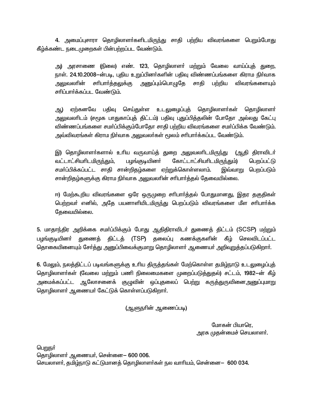4. அமைப்புசாரா தொழிலாளா்களிடமிருந்து சாதி பற்றிய விவரங்களை பெறும்போது கீழ்க்கண்ட நடைமுறைகள் பின்பற்றப்பட வேண்டும்.

அ) அரசாணை (நிலை) எண். 123, தொழிலாளா் மற்றும் வேலை வாய்ப்புத் துறை, நாள். 24.10.2008—ன்படி, புதிய உறுப்பினர்களின் பதிவு விண்ணப்பங்களை கிராம நிர்வாக சாதி பற்றிய சரிபார்த்தலுக்கு அனுப்பும்பொழுதே விவரங்களையும் அலுவலாின் சரிப்பார்க்கப்பட வேண்டும்.

ஏற்கனவே பதிவு செய்துள்ள உடலுழைப்புத் தொழிலாளா்கள் தொழிலாளா் அட) அலுவலாிடம் (சமூக பாதுகாப்புத் திட்டம்) பதிவு புதுப்பித்தலின் போதோ அல்லது கேட்பு விண்ணப்பங்களை சமா்ப்பிக்கும்போதோ சாதி பற்றிய விவரங்களை சமா்ப்பிக்க வேண்டும். அவ்விவரங்கள் கிராம நிா்வாக அலுவலா்கள் மூலம் சாிபாா்க்கப்பட வேண்டும்.

இ) தொழிலாளா்களால் உாிய வருவாய்த் துறை அலுவலாிடமிருந்து (ஆதி திராவிடா் வட்டாட்சியாிடமிரு<u>ந்த</u>ும், பழங்குடியினர் கோட்டாட்சியரிடமிருந்தும்) பெறப்பட்டு சமா்ப்பிக்கப்பட்ட சாதி சான்றிதழ்களை ஏற்றுக்கொள்ளலாம். பெறப்படும் இவ்வாறு சான்றிதழ்களுக்கு கிராம நிா்வாக அலுவலாின் சாிபாா்த்தல் தேவையில்லை.

ஈ) மேற்கூறிய விவரங்களை ஒரே ஒருமுறை சாிபாா்த்தல் போதுமானது, இதர தகுதிகள் பெற்றவர் எனில், அதே பயனாளியிடமிருந்து பெறப்படும் விவரங்களை மீள சரிபார்க்க தேவையில்லை.

5. மாதாந்திர அறிக்கை சமா்ப்பிக்கும் போது ஆதிதிராவிடா் துணைத் திட்டம் (SCSP) மற்றும் துணைத் திட்டத் (TSP) தலைப்பு கணக்குகளின் கீழ் செலவிடப்பட்ட பழங்குடியினர் தொகையினையும் சேர்த்து அனுப்பிவைக்குமாறு தொழிலாளர் ஆணையர் அறிவுறுத்தப்படுகிறார்.

6. மேலும், நலத்திட்டப் படிவங்களுக்கு உரிய திருத்தங்கள் மேற்கொள்ள தமிழ்நாடு உடலுழைப்புத் தொழிலாளா்கள் (வேலை மற்றும் பணி நிலைமைகளை முறைப்படுத்துதல்) சட்டம், 1982—ன் கீழ் அமைக்கப்பட்ட ஆலோசனைக் குழுவின் ஒப்புதலைப் பெ<u>ற்று</u> கருத்துருவினைஅனுப்புமாறு தொழிலாளா் ஆணையா் கேட்டுக் கொள்ளப்படுகிறாா்.

(ஆளுநாின் ஆணைப்படி)

மோகன் பியாரெ, அரசு முதன்மைச் செயலாளா்.

பெறுநர்

தொழிலாளா் ஆணையா், சென்னை— 600 006. செயலாளர், தமிழ்நாடு கட்டுமானத் தொழிலாளர்கள் நல வாரியம், சென்னை— 600 034.